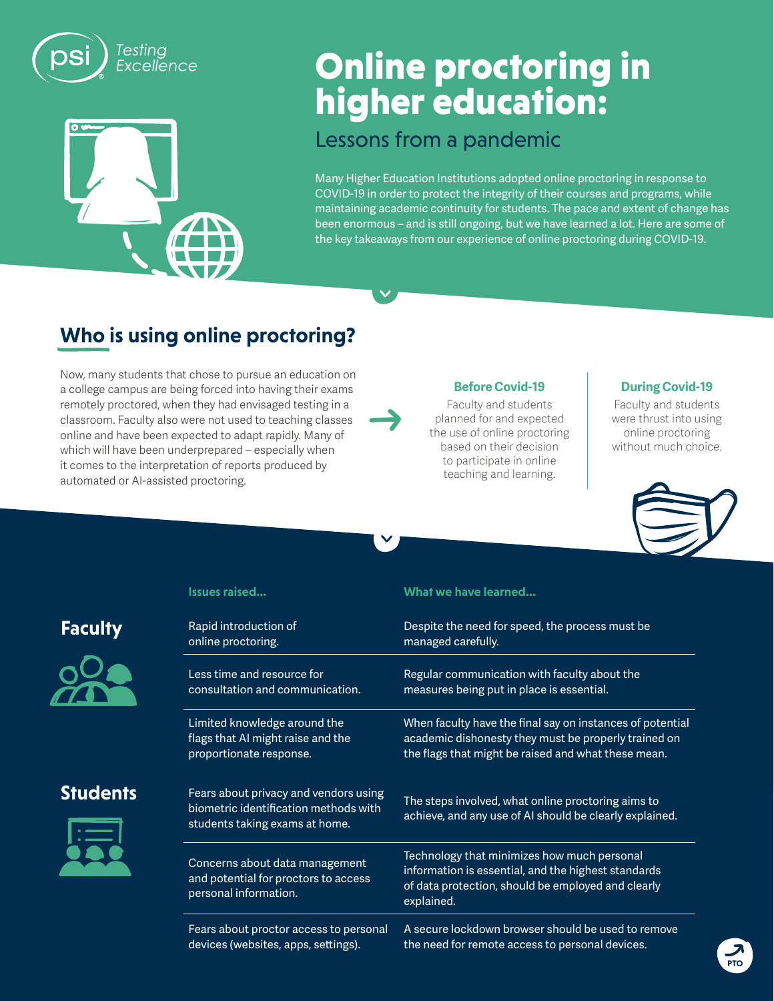

# 71

# Online proctoring in higher education:

#### Lessons from a pandemic

Many Higher Education Institutions adopted online proctoring in response to COVID-19 in order to protect the integrity of their courses and programs, while maintaining academic continuity for students. The pace and extent of change has been enormous – and is still ongoing, but we have learned a lot. Here are some of the key takeaways from our experience of online proctoring during COVID-19.

## **Who is using online proctoring?**

Now, many students that chose to pursue an education on a college campus are being forced into having their exams remotely proctored, when they had envisaged testing in a classroom. Faculty also were not used to teaching classes online and have been expected to adapt rapidly. Many of which will have been underprepared – especially when it comes to the interpretation of reports produced by automated or AI-assisted proctoring.

#### **Before Covid-19**

Faculty and students planned for and expected the use of online proctoring based on their decision to participate in online teaching and learning.

#### **During Covid-19**

Faculty and students were thrust into using online proctoring without much choice.



### **Faculty**



**Students** 

#### **Issues raised... What we have learned...**

| Rapid introduction of                                                                                            | Despite the need for speed, the process must be                                                                                                                        |  |
|------------------------------------------------------------------------------------------------------------------|------------------------------------------------------------------------------------------------------------------------------------------------------------------------|--|
| online proctoring.                                                                                               | managed carefully.                                                                                                                                                     |  |
| Less time and resource for                                                                                       | Regular communication with faculty about the                                                                                                                           |  |
| consultation and communication.                                                                                  | measures being put in place is essential.                                                                                                                              |  |
| Limited knowledge around the                                                                                     | When faculty have the final say on instances of potential                                                                                                              |  |
| flags that AI might raise and the                                                                                | academic dishonesty they must be properly trained on                                                                                                                   |  |
| proportionate response.                                                                                          | the flags that might be raised and what these mean.                                                                                                                    |  |
| Fears about privacy and vendors using<br>biometric identification methods with<br>students taking exams at home. | The steps involved, what online proctoring aims to<br>achieve, and any use of AI should be clearly explained.                                                          |  |
| Concerns about data management<br>and potential for proctors to access<br>personal information.                  | Technology that minimizes how much personal<br>information is essential, and the highest standards<br>of data protection, should be employed and clearly<br>explained. |  |
| Fears about proctor access to personal                                                                           | A secure lockdown browser should be used to remove                                                                                                                     |  |
| devices (websites, apps, settings).                                                                              | the need for remote access to personal devices.                                                                                                                        |  |